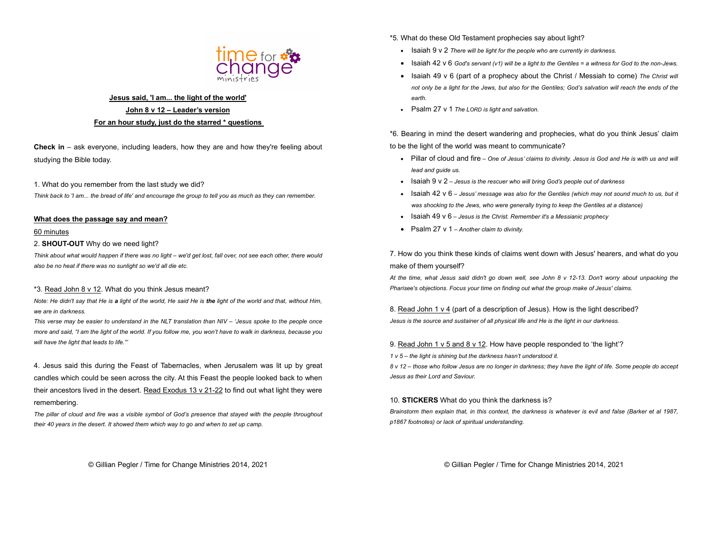

## Jesus said, 'I am... the light of the world' John 8 v 12 – Leader's version For an hour study, just do the starred \* questions

Check in – ask everyone, including leaders, how they are and how they're feeling about studying the Bible today.

1. What do you remember from the last study we did? Think back to 'I am... the bread of life' and encourage the group to tell you as much as they can remember.

#### What does the passage say and mean?

#### 60 minutes

2. SHOUT-OUT Why do we need light?

Think about what would happen if there was no light – we'd get lost, fall over, not see each other, there would also be no heat if there was no sunlight so we'd all die etc.

#### \*3. Read John 8 v 12. What do you think Jesus meant?

Note: He didn't say that He is a light of the world. He said He is the light of the world and that, without Him, we are in darkness.

This verse may be easier to understand in the NLT translation than NIV – 'Jesus spoke to the people once more and said, "I am the light of the world. If you follow me, you won't have to walk in darkness, because you will have the light that leads to life."

4. Jesus said this during the Feast of Tabernacles, when Jerusalem was lit up by great candles which could be seen across the city. At this Feast the people looked back to when their ancestors lived in the desert. Read Exodus 13 v 21-22 to find out what light they were remembering.

The pillar of cloud and fire was a visible symbol of God's presence that stayed with the people throughout their 40 years in the desert. It showed them which way to go and when to set up camp.

\*5. What do these Old Testament prophecies say about light?

- Isaiah 9 v 2 There will be light for the people who are currently in darkness.
- $\bullet$  Isaiah 42 v 6 God's servant (v1) will be a light to the Gentiles = a witness for God to the non-Jews.
- $\bullet$  Isaiah 49 v 6 (part of a prophecy about the Christ / Messiah to come) The Christ will not only be a light for the Jews, but also for the Gentiles; God's salvation will reach the ends of the earth.
- Psalm 27 v 1 The LORD is light and salvation.

\*6. Bearing in mind the desert wandering and prophecies, what do you think Jesus' claim to be the light of the world was meant to communicate?

- Pillar of cloud and fire One of Jesus' claims to divinity. Jesus is God and He is with us and will lead and guide us.
- $\bullet$  Isaiah 9 v 2 Jesus is the rescuer who will bring God's people out of darkness
- $\bullet$  Isaiah 42 v 6 Jesus' message was also for the Gentiles (which may not sound much to us, but it was shocking to the Jews, who were generally trying to keep the Gentiles at a distance)
- Isaiah 49 v 6 Jesus is the Christ. Remember it's a Messianic prophecy
- Psalm 27 v 1 Another claim to divinity.

7. How do you think these kinds of claims went down with Jesus' hearers, and what do you make of them yourself?

At the time, what Jesus said didn't go down well, see John 8 v 12-13. Don't worry about unpacking the Pharisee's objections. Focus your time on finding out what the group make of Jesus' claims.

8. Read John 1 v 4 (part of a description of Jesus). How is the light described? Jesus is the source and sustainer of all physical life and He is the light in our darkness.

9. Read John 1 v 5 and 8 v 12. How have people responded to 'the light'?

1 v 5 – the light is shining but the darkness hasn't understood it.

8 v 12 – those who follow Jesus are no longer in darkness; they have the light of life. Some people do accept Jesus as their Lord and Saviour.

10. STICKERS What do you think the darkness is?

Brainstorm then explain that, in this context, the darkness is whatever is evil and false (Barker et al 1987, p1867 footnotes) or lack of spiritual understanding.

© Gillian Pegler / Time for Change Ministries 2014, 2021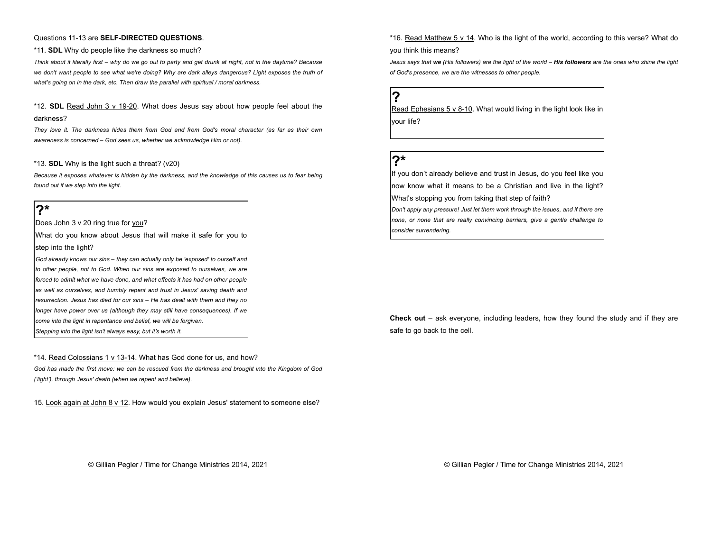#### Questions 11-13 are SELF-DIRECTED QUESTIONS.

#### \*11. SDL Why do people like the darkness so much?

Think about it literally first – why do we go out to party and get drunk at night, not in the daytime? Because we don't want people to see what we're doing? Why are dark alleys dangerous? Light exposes the truth of what's going on in the dark, etc. Then draw the parallel with spiritual / moral darkness.

\*12. SDL Read John 3 v 19-20. What does Jesus say about how people feel about the darkness?

They love it. The darkness hides them from God and from God's moral character (as far as their own awareness is concerned – God sees us, whether we acknowledge Him or not).

#### \*13. SDL Why is the light such a threat? (v20)

Because it exposes whatever is hidden by the darkness, and the knowledge of this causes us to fear being found out if we step into the light.

## ?\*

Does John 3 v 20 ring true for you?

What do you know about Jesus that will make it safe for you to step into the light?

God already knows our sins – they can actually only be 'exposed' to ourself and to other people, not to God. When our sins are exposed to ourselves, we are forced to admit what we have done, and what effects it has had on other people as well as ourselves, and humbly repent and trust in Jesus' saving death and resurrection. Jesus has died for our sins – He has dealt with them and they no longer have power over us (although they may still have consequences). If we come into the light in repentance and belief, we will be forgiven. Stepping into the light isn't always easy, but it's worth it.

\*14. Read Colossians 1 v 13-14. What has God done for us, and how?

God has made the first move: we can be rescued from the darkness and brought into the Kingdom of God ('light'), through Jesus' death (when we repent and believe).

15. Look again at John 8 v 12. How would you explain Jesus' statement to someone else?

\*16. Read Matthew 5 v 14. Who is the light of the world, according to this verse? What do

you think this means?

Jesus says that we (His followers) are the light of the world - His followers are the ones who shine the light of God's presence, we are the witnesses to other people.

# ?

Read Ephesians 5 v 8-10. What would living in the light look like in your life?

# $2*$

If you don't already believe and trust in Jesus, do you feel like you now know what it means to be a Christian and live in the light? What's stopping you from taking that step of faith? Don't apply any pressure! Just let them work through the issues, and if there are none, or none that are really convincing barriers, give a gentle challenge to consider surrendering.

**Check out** – ask everyone, including leaders, how they found the study and if they are safe to go back to the cell.

© Gillian Pegler / Time for Change Ministries 2014, 2021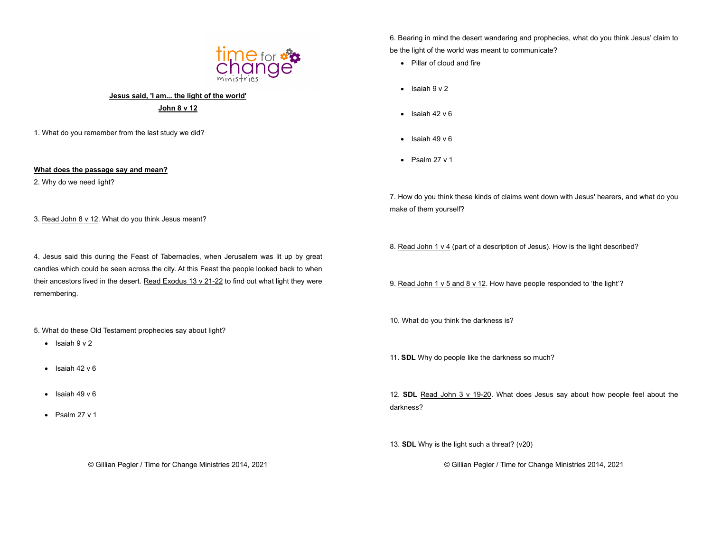

## Jesus said, 'I am... the light of the world'

John 8 v 12

1. What do you remember from the last study we did?

### What does the passage say and mean?

2. Why do we need light?

3. Read John 8 v 12. What do you think Jesus meant?

4. Jesus said this during the Feast of Tabernacles, when Jerusalem was lit up by great candles which could be seen across the city. At this Feast the people looked back to when their ancestors lived in the desert. Read Exodus 13 v 21-22 to find out what light they were remembering.

5. What do these Old Testament prophecies say about light?

- $\bullet$  Isaiah 9 v 2
- $\cdot$  Isaiah 42 v 6
- $\bullet$  Isaiah 49 v 6
- $\bullet$  Psalm 27 v 1

6. Bearing in mind the desert wandering and prophecies, what do you think Jesus' claim to be the light of the world was meant to communicate?

- Pillar of cloud and fire
- $\bullet$  Isaiah  $9 \vee 2$
- $\bullet$  Isaiah 42 v 6
- $\bullet$  Isaiah 49 v 6
- $\bullet$  Psalm 27 v 1

7. How do you think these kinds of claims went down with Jesus' hearers, and what do you make of them yourself?

8. Read John 1 v 4 (part of a description of Jesus). How is the light described?

9. Read John 1 v 5 and 8 v 12. How have people responded to 'the light'?

10. What do you think the darkness is?

11. SDL Why do people like the darkness so much?

12. SDL Read John 3 v 19-20. What does Jesus say about how people feel about the darkness?

13. SDL Why is the light such a threat? (v20)

© Gillian Pegler / Time for Change Ministries 2014, 2021